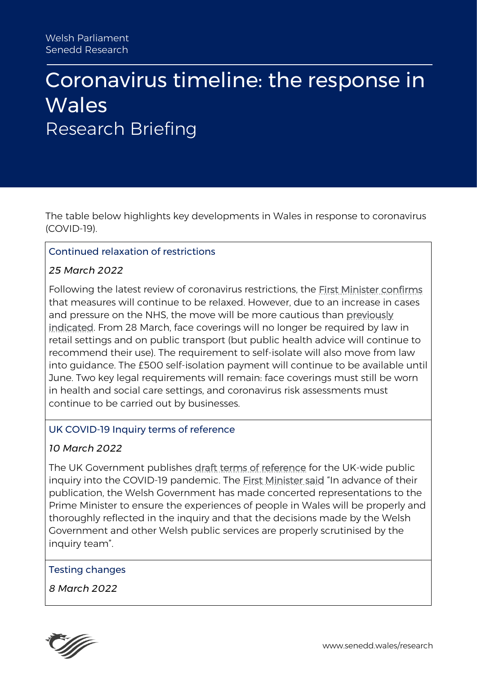# Coronavirus timeline: the response in **Wales** Research Briefing

The table below highlights key developments in Wales in response to coronavirus (COVID-19).

#### Continued relaxation of restrictions

#### *25 March 2022*

Following the latest review of coronavirus restrictions, the [First Minister confirms](https://gov.wales/written-statement-review-health-protection-coronavirus-restrictions-no5-wales-regulations-2020-5) that measures will continue to be relaxed. However, due to an increase in cases and pressure on the NHS, the move will be more cautious than [previously](https://gov.wales/written-statement-health-protection-coronavirus-restrictions-no-5-wales-regulations-2020-3-march)  [indicated.](https://gov.wales/written-statement-health-protection-coronavirus-restrictions-no-5-wales-regulations-2020-3-march) From 28 March, face coverings will no longer be required by law in retail settings and on public transport (but public health advice will continue to recommend their use). The requirement to self-isolate will also move from law into guidance. The £500 self-isolation payment will continue to be available until June. Two key legal requirements will remain: face coverings must still be worn in health and social care settings, and coronavirus risk assessments must continue to be carried out by businesses.

#### UK COVID-19 Inquiry terms of reference

### *10 March 2022*

The UK Government publishes [draft terms of reference](https://www.gov.uk/government/news/covid-19-inquiry-terms-of-reference) for the UK-wide public inquiry into the COVID-19 pandemic. The [First Minister said](https://gov.wales/written-statement-publication-terms-reference-uk-wide-covid-19-public-inquiry) "In advance of their publication, the Welsh Government has made concerted representations to the Prime Minister to ensure the experiences of people in Wales will be properly and thoroughly reflected in the inquiry and that the decisions made by the Welsh Government and other Welsh public services are properly scrutinised by the inquiry team".

#### Testing changes

*8 March 2022*

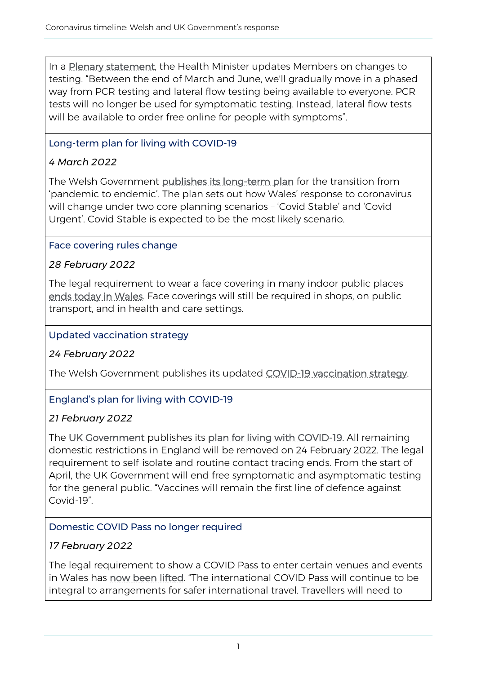In a [Plenary statement,](https://record.assembly.wales/Plenary/12655#A70797) the Health Minister updates Members on changes to testing. "Between the end of March and June, we'll gradually move in a phased way from PCR testing and lateral flow testing being available to everyone. PCR tests will no longer be used for symptomatic testing. Instead, lateral flow tests will be available to order free online for people with symptoms".

# Long-term plan for living with COVID-19

# *4 March 2022*

The Welsh Government [publishes its long-term plan](https://gov.wales/written-statement-health-protection-coronavirus-restrictions-no-5-wales-regulations-2020-3-march) for the transition from 'pandemic to endemic'. The plan sets out how Wales' response to coronavirus will change under two core planning scenarios – 'Covid Stable' and 'Covid Urgent'. Covid Stable is expected to be the most likely scenario.

### Face covering rules change

### *28 February 2022*

The legal requirement to wear a face covering in many indoor public places [ends today in Wales.](https://gov.wales/face-covering-legal-requirement-lifted-many-indoor-public-places) Face coverings will still be required in shops, on public transport, and in health and care settings.

#### Updated vaccination strategy

### *24 February 2022*

The Welsh Government publishes its updated [COVID-19 vaccination strategy.](https://gov.wales/covid-19-vaccination-strategy-2022)

### England's plan for living with COVID-19

### *21 February 2022*

The [UK Government](https://www.gov.uk/government/news/prime-minister-sets-out-plan-for-living-with-covid) publishes its [plan for living with COVID-19.](https://www.gov.uk/government/publications/covid-19-response-living-with-covid-19) All remaining domestic restrictions in England will be removed on 24 February 2022. The legal requirement to self-isolate and routine contact tracing ends. From the start of April, the UK Government will end free symptomatic and asymptomatic testing for the general public. "Vaccines will remain the first line of defence against Covid-19".

### Domestic COVID Pass no longer required

# *17 February 2022*

The legal requirement to show a COVID Pass to enter certain venues and events in Wales has [now been lifted](https://gov.wales/covid-pass-no-longer-required-indoor-or-outdoor-events). "The international COVID Pass will continue to be integral to arrangements for safer international travel. Travellers will need to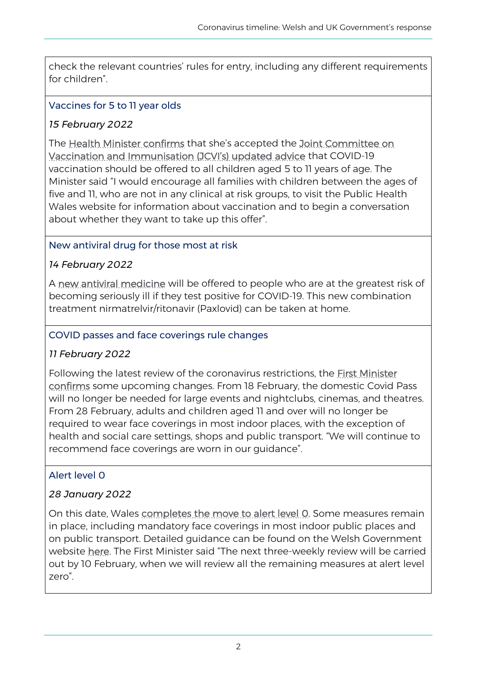check the relevant countries' rules for entry, including any different requirements for children".

### Vaccines for 5 to 11 year olds

### *15 February 2022*

The [Health Minister confirms](https://gov.wales/written-statement-covid-19-vaccinations-five-11-year-olds-0) that she's accepted the Joint Committee on [Vaccination and Immunisation \(JCVI's\) updated advice](https://www.gov.uk/government/publications/jcvi-update-on-advice-for-covid-19-vaccination-of-children-aged-5-to-11/jcvi-statement-on-vaccination-of-children-aged-5-to-11-years-old) that COVID-19 vaccination should be offered to all children aged 5 to 11 years of age. The Minister said "I would encourage all families with children between the ages of five and 11, who are not in any clinical at risk groups, to visit the Public Health Wales website for information about vaccination and to begin a conversation about whether they want to take up this offer".

### New antiviral drug for those most at risk

### *14 February 2022*

A [new antiviral medicine](https://gov.wales/thousands-benefit-antiviral-medicine-wales) will be offered to people who are at the greatest risk of becoming seriously ill if they test positive for COVID-19. This new combination treatment nirmatrelvir/ritonavir (Paxlovid) can be taken at home.

#### COVID passes and face coverings rule changes

### *11 February 2022*

Following the latest review of the coronavirus restrictions, the [First Minister](https://gov.wales/written-statement-review-health-protection-coronavirus-restrictions-no5-wales-regulations-2020-4)  [confirms](https://gov.wales/written-statement-review-health-protection-coronavirus-restrictions-no5-wales-regulations-2020-4) some upcoming changes. From 18 February, the domestic Covid Pass will no longer be needed for large events and nightclubs, cinemas, and theatres. From 28 February, adults and children aged 11 and over will no longer be required to wear face coverings in most indoor places, with the exception of health and social care settings, shops and public transport. "We will continue to recommend face coverings are worn in our guidance".

### Alert level 0

### *28 January 2022*

On this date, Wales [completes the move to alert level 0.](https://gov.wales/wales-completes-move-alert-level-0) Some measures remain in place, including mandatory face coverings in most indoor public places and on public transport. Detailed guidance can be found on the Welsh Government website [here](https://gov.wales/alert-level-0). The First Minister said "The next three-weekly review will be carried out by 10 February, when we will review all the remaining measures at alert level zero".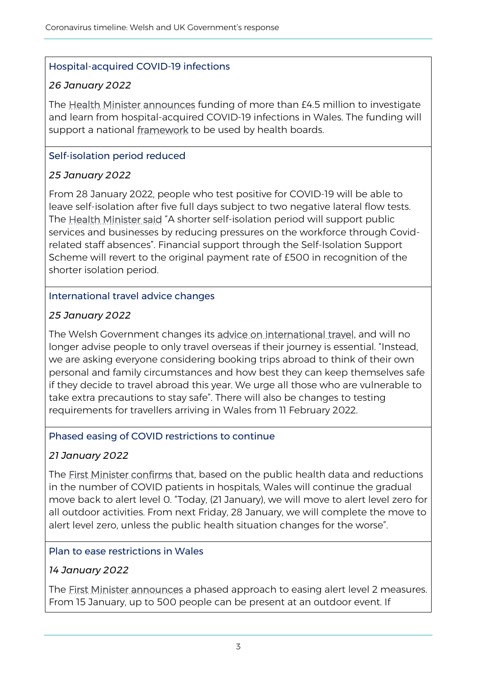### Hospital-acquired COVID-19 infections

### *26 January 2022*

The [Health Minister announces](https://gov.wales/more-45m-investigate-and-learn-hospital-acquired-covid-19-infections-wales) funding of more than £4.5 million to investigate and learn from hospital-acquired COVID-19 infections in Wales. The funding will support a national [framework](http://www.wales.nhs.uk/documents/20211104%20-%20NHS%20Wales%20national%20framework%20%E2%80%93%20Management%20of%20patient%20safety%20incidents%20following%20nosocomial%20transmission%20of%20COVID-19.pdf) to be used by health boards.

# Self-isolation period reduced

# *25 January 2022*

From 28 January 2022, people who test positive for COVID-19 will be able to leave self-isolation after five full days subject to two negative lateral flow tests. The [Health Minister said](https://gov.wales/self-isolation-period-reduced) "A shorter self-isolation period will support public services and businesses by reducing pressures on the workforce through Covidrelated staff absences". Financial support through the Self-Isolation Support Scheme will revert to the original payment rate of £500 in recognition of the shorter isolation period.

### International travel advice changes

### *25 January 2022*

The Welsh Government changes its [advice on international travel,](https://gov.wales/written-statement-international-travel) and will no longer advise people to only travel overseas if their journey is essential. "Instead, we are asking everyone considering booking trips abroad to think of their own personal and family circumstances and how best they can keep themselves safe if they decide to travel abroad this year. We urge all those who are vulnerable to take extra precautions to stay safe". There will also be changes to testing requirements for travellers arriving in Wales from 11 February 2022.

### Phased easing of COVID restrictions to continue

### *21 January 2022*

The [First Minister confirms](https://gov.wales/phased-easing-of-covid-restrictions-to-continue-first-minister) that, based on the public health data and reductions in the number of COVID patients in hospitals, Wales will continue the gradual move back to alert level 0. "Today, (21 January), we will move to alert level zero for all outdoor activities. From next Friday, 28 January, we will complete the move to alert level zero, unless the public health situation changes for the worse".

### Plan to ease restrictions in Wales

### *14 January 2022*

The **First Minister announces** a phased approach to easing alert level 2 measures. From 15 January, up to 500 people can be present at an outdoor event. If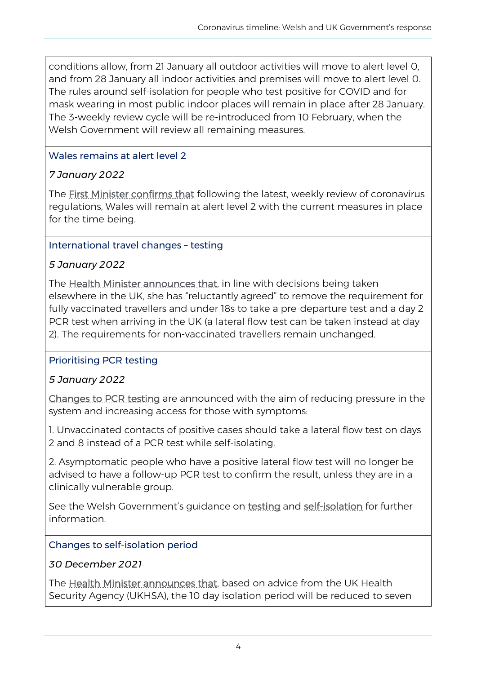conditions allow, from 21 January all outdoor activities will move to alert level 0, and from 28 January all indoor activities and premises will move to alert level 0. The rules around self-isolation for people who test positive for COVID and for mask wearing in most public indoor places will remain in place after 28 January. The 3-weekly review cycle will be re-introduced from 10 February, when the Welsh Government will review all remaining measures.

### Wales remains at alert level 2

# *7 January 2022*

The [First Minister confirms that](https://gov.wales/written-statement-review-health-protection-coronavirus-restrictions-no5-wales-regulations-2020-1) following the latest, weekly review of coronavirus regulations, Wales will remain at alert level 2 with the current measures in place for the time being.

### International travel changes – testing

# *5 January 2022*

The [Health Minister announces that,](https://gov.wales/written-statement-international-travel-changes-6) in line with decisions being taken elsewhere in the UK, she has "reluctantly agreed" to remove the requirement for fully vaccinated travellers and under 18s to take a pre-departure test and a day 2 PCR test when arriving in the UK (a lateral flow test can be taken instead at day 2). The requirements for non-vaccinated travellers remain unchanged.

# Prioritising PCR testing

### *5 January 2022*

[Changes to PCR testing](https://gov.wales/written-statement-prioritising-pcr-testing) are announced with the aim of reducing pressure in the system and increasing access for those with symptoms:

1. Unvaccinated contacts of positive cases should take a lateral flow test on days 2 and 8 instead of a PCR test while self-isolating.

2. Asymptomatic people who have a positive lateral flow test will no longer be advised to have a follow-up PCR test to confirm the result, unless they are in a clinically vulnerable group.

See the Welsh Government's guidance on [testing](https://gov.wales/testing-coronavirus) and [self-isolation](https://gov.wales/self-isolation) for further information.

### Changes to self-isolation period

### *30 December 2021*

The [Health Minister announces that,](https://gov.wales/self-isolation-changes) based on advice from the UK Health Security Agency (UKHSA), the 10 day isolation period will be reduced to seven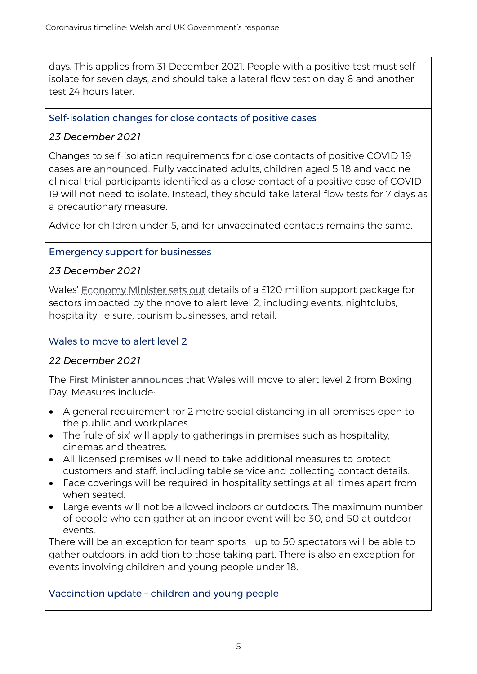days. This applies from 31 December 2021. People with a positive test must selfisolate for seven days, and should take a lateral flow test on day 6 and another test 24 hours later.

### Self-isolation changes for close contacts of positive cases

### *23 December 2021*

Changes to self-isolation requirements for close contacts of positive COVID-19 cases are [announced.](https://gov.wales/written-statement-self-isolation-changes) Fully vaccinated adults, children aged 5-18 and vaccine clinical trial participants identified as a close contact of a positive case of COVID-19 will not need to isolate. Instead, they should take lateral flow tests for 7 days as a precautionary measure.

Advice for children under 5, and for unvaccinated contacts remains the same.

### Emergency support for businesses

### *23 December 2021*

Wales' [Economy Minister sets out](https://gov.wales/written-statement-120m-emergency-support-businesses) details of a £120 million support package for sectors impacted by the move to alert level 2, including events, nightclubs, hospitality, leisure, tourism businesses, and retail.

### Wales to move to alert level 2

# *22 December 2021*

The [First Minister announces](https://gov.wales/written-statement-review-health-protection-coronavirus-restrictions-no5-wales-regulations-2020-0) that Wales will move to alert level 2 from Boxing Day. Measures include:

- A general requirement for 2 metre social distancing in all premises open to the public and workplaces.
- The 'rule of six' will apply to gatherings in premises such as hospitality, cinemas and theatres.
- All licensed premises will need to take additional measures to protect customers and staff, including table service and collecting contact details.
- Face coverings will be required in hospitality settings at all times apart from when seated.
- Large events will not be allowed indoors or outdoors. The maximum number of people who can gather at an indoor event will be 30, and 50 at outdoor events.

There will be an exception for team sports - up to 50 spectators will be able to gather outdoors, in addition to those taking part. There is also an exception for events involving children and young people under 18.

### Vaccination update – children and young people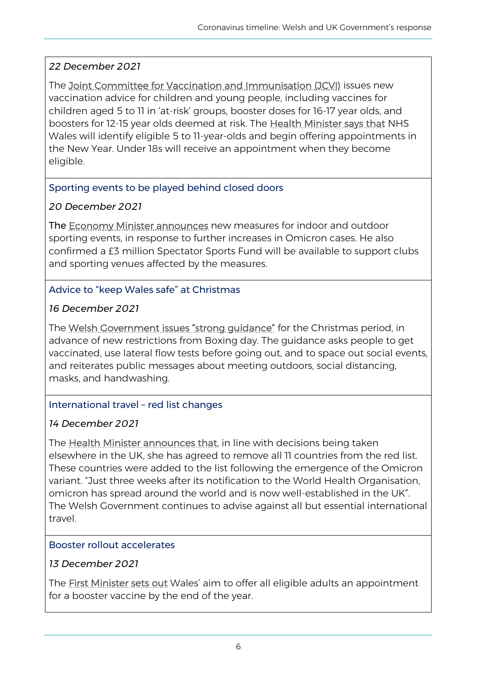### *22 December 2021*

The [Joint Committee for Vaccination and Immunisation \(JCVI\)](https://www.gov.uk/government/news/jcvi-issues-new-vaccination-advice-for-children-and-young-people) issues new vaccination advice for children and young people, including vaccines for children aged 5 to 11 in 'at-risk' groups, booster doses for 16-17 year olds, and boosters for 12-15 year olds deemed at risk. The [Health Minister says that](https://gov.wales/written-statement-covid-19-vaccination-children-and-young-people) NHS Wales will identify eligible 5 to 11-year-olds and begin offering appointments in the New Year. Under 18s will receive an appointment when they become eligible.

### Sporting events to be played behind closed doors

### *20 December 2021*

The [Economy Minister announces](https://gov.wales/sporting-events-be-played-behind-closed-doors-omicron-cases-rise) new measures for indoor and outdoor sporting events, in response to further increases in Omicron cases. He also confirmed a £3 million Spectator Sports Fund will be available to support clubs and sporting venues affected by the measures.

# Advice to "keep Wales safe" at Christmas

### *16 December 2021*

The Welsh Government issues "strong quidance" for the Christmas period, in advance of new restrictions from Boxing day. The guidance asks people to get vaccinated, use lateral flow tests before going out, and to space out social events, and reiterates public messages about meeting outdoors, social distancing, masks, and handwashing.

### International travel – red list changes

# *14 December 2021*

The [Health Minister announces that,](https://gov.wales/written-statement-international-travel-changes-5) in line with decisions being taken elsewhere in the UK, she has agreed to remove all 11 countries from the red list. These countries were added to the list following the emergence of the Omicron variant. "Just three weeks after its notification to the World Health Organisation, omicron has spread around the world and is now well-established in the UK". The Welsh Government continues to advise against all but essential international travel.

### Booster rollout accelerates

### *13 December 2021*

The [First Minister sets out](https://gov.wales/first-minister-outlines-ambitious-aim-offer-all-eligible-adults-booster-appointment-end-year) Wales' aim to offer all eligible adults an appointment for a booster vaccine by the end of the year.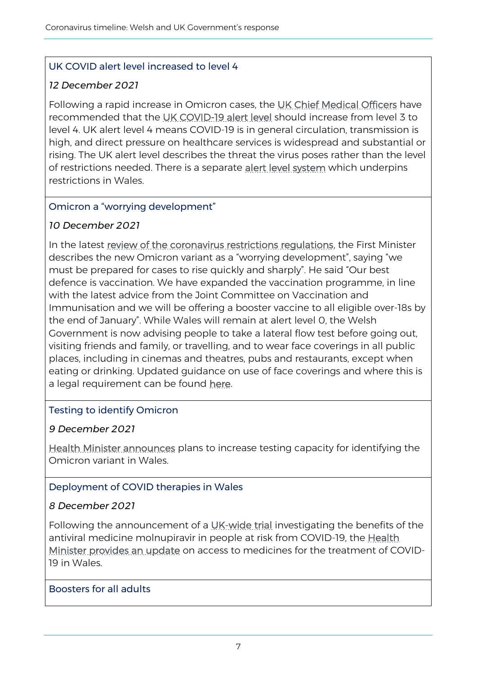### UK COVID alert level increased to level 4

### *12 December 2021*

Following a rapid increase in Omicron cases, the [UK Chief Medical Officers](https://gov.wales/uk-covid-alert-level-increased-level-3-level-4) have recommended that the [UK COVID-19 alert level](https://www.gov.uk/government/publications/uk-covid-19-alert-level-methodology-an-overview/) should increase from level 3 to level 4. UK alert level 4 means COVID-19 is in general circulation, transmission is high, and direct pressure on healthcare services is widespread and substantial or rising. The UK alert level describes the threat the virus poses rather than the level of restrictions needed. There is a separate [alert level system](https://gov.wales/covid-19-alert-levels) which underpins restrictions in Wales.

### Omicron a "worrying development"

### *10 December 2021*

In the latest review of the coronavirus restrictions requiations, the First Minister describes the new Omicron variant as a "worrying development", saying "we must be prepared for cases to rise quickly and sharply". He said "Our best defence is vaccination. We have expanded the vaccination programme, in line with the latest advice from the Joint Committee on Vaccination and Immunisation and we will be offering a booster vaccine to all eligible over-18s by the end of January". While Wales will remain at alert level 0, the Welsh Government is now advising people to take a lateral flow test before going out, visiting friends and family, or travelling, and to wear face coverings in all public places, including in cinemas and theatres, pubs and restaurants, except when eating or drinking. Updated guidance on use of face coverings and where this is a legal requirement can be found [here.](https://gov.wales/face-coverings-guidance-public)

### Testing to identify Omicron

### *9 December 2021*

[Health Minister announces](https://gov.wales/testing-capacity-increased-identify-omicron-variant-wales) plans to increase testing capacity for identifying the Omicron variant in Wales.

# Deployment of COVID therapies in Wales

### *8 December 2021*

Following the announcement of a [UK-wide trial](https://www.panoramictrial.org/) investigating the benefits of the antiviral medicine molnupiravir in people at risk from COVID-19, the Health [Minister provides an update](https://gov.wales/written-statement-statement-deployment-covid-therapies-wales) on access to medicines for the treatment of COVID-19 in Wales.

#### Boosters for all adults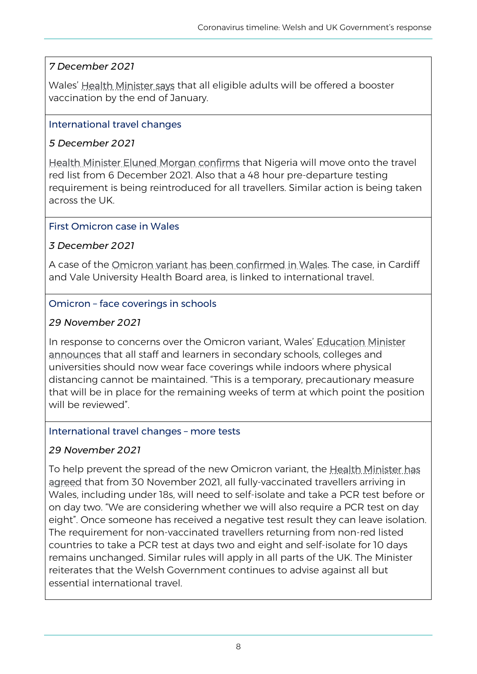# *7 December 2021*

Wales' [Health Minister says](https://gov.wales/written-statement-expanding-covid-19-vaccination-programme) that all eligible adults will be offered a booster vaccination by the end of January.

### International travel changes

### *5 December 2021*

[Health Minister Eluned Morgan confirms](https://gov.wales/international-travel-changes) that Nigeria will move onto the travel red list from 6 December 2021. Also that a 48 hour pre-departure testing requirement is being reintroduced for all travellers. Similar action is being taken across the UK.

### First Omicron case in Wales

# *3 December 2021*

A case of the [Omicron variant has been confirmed in Wales.](https://gov.wales/first-omicron-case-confirmed-wales) The case, in Cardiff and Vale University Health Board area, is linked to international travel.

### Omicron – face coverings in schools

### *29 November 2021*

In response to concerns over the Omicron variant, Wales' Education Minister [announces](https://gov.wales/written-statement-omicron-variant-concern-school-operations) that all staff and learners in secondary schools, colleges and universities should now wear face coverings while indoors where physical distancing cannot be maintained. "This is a temporary, precautionary measure that will be in place for the remaining weeks of term at which point the position will be reviewed"

### International travel changes – more tests

# *29 November 2021*

To help prevent the spread of the new Omicron variant, the [Health Minister has](https://gov.wales/written-statement-international-travel-changes-3)  [agreed](https://gov.wales/written-statement-international-travel-changes-3) that from 30 November 2021, all fully-vaccinated travellers arriving in Wales, including under 18s, will need to self-isolate and take a PCR test before or on day two. "We are considering whether we will also require a PCR test on day eight". Once someone has received a negative test result they can leave isolation. The requirement for non-vaccinated travellers returning from non-red listed countries to take a PCR test at days two and eight and self-isolate for 10 days remains unchanged. Similar rules will apply in all parts of the UK. The Minister reiterates that the Welsh Government continues to advise against all but essential international travel.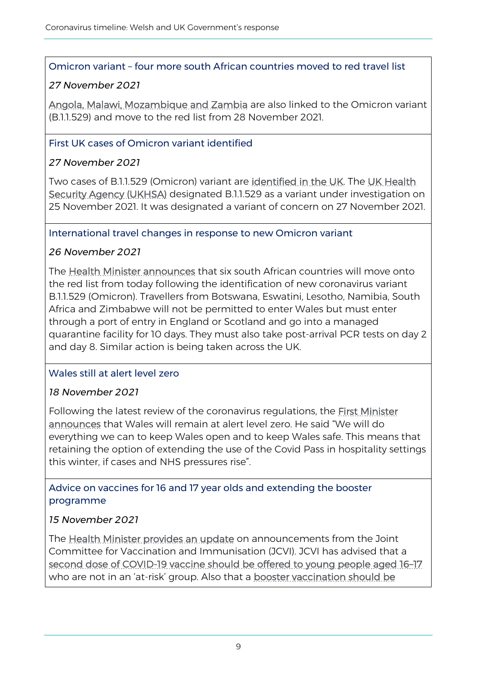#### Omicron variant – four more south African countries moved to red travel list

### *27 November 2021*

[Angola, Malawi, Mozambique and Zambia](https://gov.wales/written-statement-international-travel-changes-27-november-2021) are also linked to the Omicron variant (B.1.1.529) and move to the red list from 28 November 2021.

### First UK cases of Omicron variant identified

# *27 November 2021*

Two cases of B.1.1.529 (Omicron) variant are [identified in the UK.](https://www.gov.uk/government/news/first-uk-cases-of-omicron-variant-identified) The [UK Health](https://www.gov.uk/government/news/covid-19-variants-identified-in-the-uk)  [Security Agency \(UKHSA\)](https://www.gov.uk/government/news/covid-19-variants-identified-in-the-uk) designated B.1.1.529 as a variant under investigation on 25 November 2021. It was designated a variant of concern on 27 November 2021.

### International travel changes in response to new Omicron variant

### *26 November 2021*

The [Health Minister announces](https://gov.wales/international-travel-changes) that six south African countries will move onto the red list from today following the identification of new coronavirus variant B.1.1.529 (Omicron). Travellers from Botswana, Eswatini, Lesotho, Namibia, South Africa and Zimbabwe will not be permitted to enter Wales but must enter through a port of entry in England or Scotland and go into a managed quarantine facility for 10 days. They must also take post-arrival PCR tests on day 2 and day 8. Similar action is being taken across the UK.

### Wales still at alert level zero

### *18 November 2021*

Following the latest review of the coronavirus regulations, the First Minister [announces](https://gov.wales/written-statement-review-health-protection-coronavirus-restriction-no5-wales-regulations-2020-16) that Wales will remain at alert level zero. He said "We will do everything we can to keep Wales open and to keep Wales safe. This means that retaining the option of extending the use of the Covid Pass in hospitality settings this winter, if cases and NHS pressures rise".

Advice on vaccines for 16 and 17 year olds and extending the booster programme

### *15 November 2021*

The **Health Minister provides an update** on announcements from the Joint Committee for Vaccination and Immunisation (JCVI). JCVI has advised that a [second dose of COVID-19 vaccine should be offered to young people aged 16](https://www.gov.uk/government/publications/covid-19-vaccination-in-children-and-young-people-aged-16-to-17-years-jcvi-statement-november-2021/joint-committee-on-vaccination-and-immunisation-jcvi-advice-on-covid-19-vaccination-in-people-aged-16-to-17-years-15-november-2021)–17 who are not in an 'at-risk' group. Also that a booster vaccination should be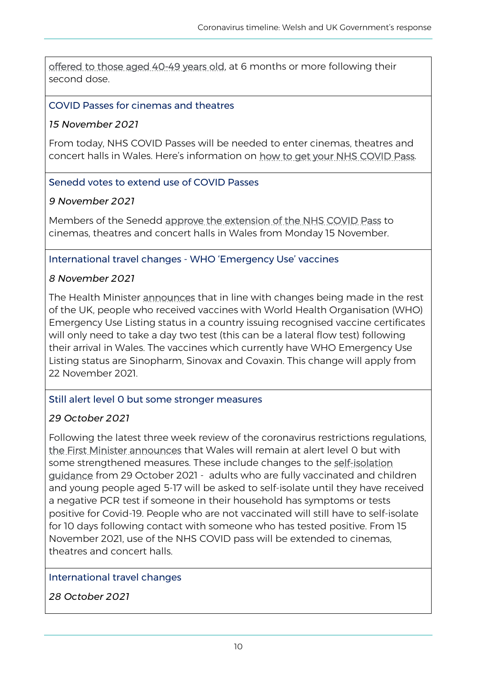[offered to those aged 40-49 years old,](https://www.gov.uk/government/publications/covid-19-booster-vaccine-programme-for-winter-2021-to-2022-jcvi-statement-november-2021/update-to-jcvi-advice-on-booster-vaccination-in-adults-15-november-2021) at 6 months or more following their second dose.

### COVID Passes for cinemas and theatres

### *15 November 2021*

From today, NHS COVID Passes will be needed to enter cinemas, theatres and concert halls in Wales. Here's information on [how to get your NHS COVID Pass.](https://gov.wales/get-your-nhs-covid-pass)

#### Senedd votes to extend use of COVID Passes

#### *9 November 2021*

Members of the Senedd [approve the extension of the NHS COVID Pass](https://record.assembly.wales/Plenary/12493#A68153) to cinemas, theatres and concert halls in Wales from Monday 15 November.

#### International travel changes - WHO 'Emergency Use' vaccines

#### *8 November 2021*

The Health Minister [announces](https://gov.wales/written-statement-changes-rules-international-travel-recognition-world-health-organisation) that in line with changes being made in the rest of the UK, people who received vaccines with World Health Organisation (WHO) Emergency Use Listing status in a country issuing recognised vaccine certificates will only need to take a day two test (this can be a lateral flow test) following their arrival in Wales. The vaccines which currently have WHO Emergency Use Listing status are Sinopharm, Sinovax and Covaxin. This change will apply from 22 November 2021.

#### Still alert level 0 but some stronger measures

### *29 October 2021*

Following the latest three week review of the coronavirus restrictions regulations, [the First Minister announces](https://gov.wales/written-statement-review-health-protection-coronavirus-restriction-no5-wales-regulations-2020-15) that Wales will remain at alert level 0 but with some strengthened measures. These include changes to the [self-isolation](https://gov.wales/self-isolation)  [guidance](https://gov.wales/self-isolation) from 29 October 2021 - adults who are fully vaccinated and children and young people aged 5-17 will be asked to self-isolate until they have received a negative PCR test if someone in their household has symptoms or tests positive for Covid-19. People who are not vaccinated will still have to self-isolate for 10 days following contact with someone who has tested positive. From 15 November 2021, use of the NHS COVID pass will be extended to cinemas, theatres and concert halls.

### International travel changes

*28 October 2021*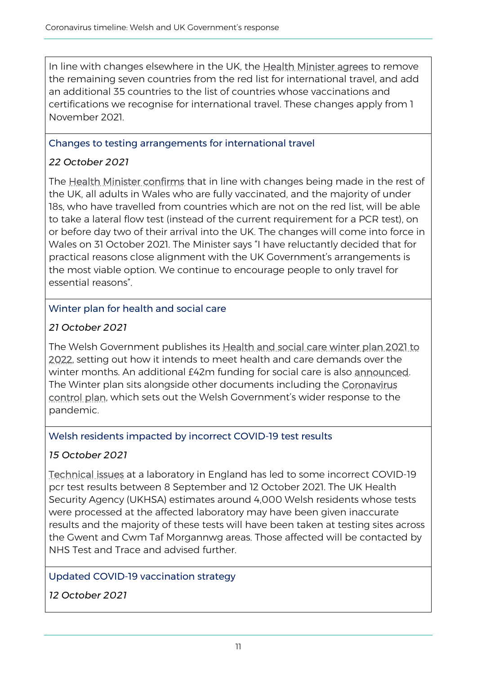In line with changes elsewhere in the UK, the [Health Minister agrees](https://gov.wales/written-statement-changes-rules-international-travel) to remove the remaining seven countries from the red list for international travel, and add an additional 35 countries to the list of countries whose vaccinations and certifications we recognise for international travel. These changes apply from 1 November 2021.

### Changes to testing arrangements for international travel

# *22 October 2021*

The [Health Minister confirms](https://gov.wales/written-statement-changes-rules-international-travel-testing-arrangements) that in line with changes being made in the rest of the UK, all adults in Wales who are fully vaccinated, and the majority of under 18s, who have travelled from countries which are not on the red list, will be able to take a lateral flow test (instead of the current requirement for a PCR test), on or before day two of their arrival into the UK. The changes will come into force in Wales on 31 October 2021. The Minister says "I have reluctantly decided that for practical reasons close alignment with the UK Government's arrangements is the most viable option. We continue to encourage people to only travel for essential reasons".

# Winter plan for health and social care

# *21 October 2021*

The Welsh Government publishes its [Health and social care winter plan 2021 to](https://gov.wales/health-and-social-care-winter-plan-2021-2022)  [2022,](https://gov.wales/health-and-social-care-winter-plan-2021-2022) setting out how it intends to meet health and care demands over the winter months. An additional £42m funding for social care is also [announced.](https://gov.wales/we-are-bracing-ourselves-one-hardest-winters-we-have-ever-faced-will-keep-essential-services) The Winter plan sits alongside other documents including the Coronavirus [control plan](https://gov.wales/coronavirus-control-plan-autumn-and-winter-2021-update), which sets out the Welsh Government's wider response to the pandemic.

### Welsh residents impacted by incorrect COVID-19 test results

# *15 October 2021*

[Technical issues](https://gov.wales/written-statement-has-issued-update-welsh-residents-impacted-incorrect-covid-19-test-results) at a laboratory in England has led to some incorrect COVID-19 pcr test results between 8 September and 12 October 2021. The UK Health Security Agency (UKHSA) estimates around 4,000 Welsh residents whose tests were processed at the affected laboratory may have been given inaccurate results and the majority of these tests will have been taken at testing sites across the Gwent and Cwm Taf Morgannwg areas. Those affected will be contacted by NHS Test and Trace and advised further.

# Updated COVID-19 vaccination strategy

*12 October 2021*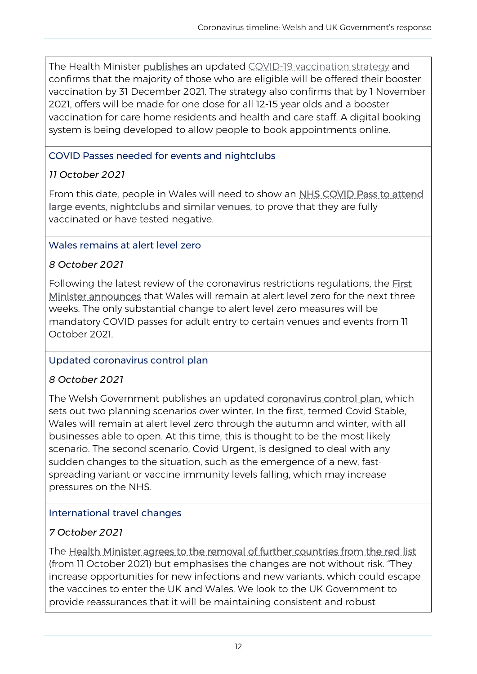The Health Minister [publishes](https://gov.wales/vaccines-are-best-way-help-nhs-ahead-challenging-winter-health-minister) an updated [COVID-19 vaccination strategy](https://gov.wales/covid-19-vaccination-strategy-autumn-and-winter-2021) and confirms that the majority of those who are eligible will be offered their booster vaccination by 31 December 2021. The strategy also confirms that by 1 November 2021, offers will be made for one dose for all 12-15 year olds and a booster vaccination for care home residents and health and care staff. A digital booking system is being developed to allow people to book appointments online.

### COVID Passes needed for events and nightclubs

# *11 October 2021*

From this date, people in Wales will need to show an NHS COVID Pass to attend [large events, nightclubs and similar venues,](https://gov.wales/use-nhs-covid-pass-attend-large-events-and-venues) to prove that they are fully vaccinated or have tested negative.

# Wales remains at alert level zero

# *8 October 2021*

Following the latest review of the coronavirus restrictions regulations, the [First](https://gov.wales/written-statement-review-health-protection-coronavirus-restriction-no5-wales-regulations-2020-14)  [Minister announces](https://gov.wales/written-statement-review-health-protection-coronavirus-restriction-no5-wales-regulations-2020-14) that Wales will remain at alert level zero for the next three weeks. The only substantial change to alert level zero measures will be mandatory COVID passes for adult entry to certain venues and events from 11 October 2021.

# Updated coronavirus control plan

### *8 October 2021*

The Welsh Government publishes an updated [coronavirus control plan,](https://gov.wales/coronavirus-control-plan-autumn-and-winter-2021-update) which sets out two planning scenarios over winter. In the first, termed Covid Stable, Wales will remain at alert level zero through the autumn and winter, with all businesses able to open. At this time, this is thought to be the most likely scenario. The second scenario, Covid Urgent, is designed to deal with any sudden changes to the situation, such as the emergence of a new, fastspreading variant or vaccine immunity levels falling, which may increase pressures on the NHS.

# International travel changes

# *7 October 2021*

The [Health Minister agrees to the removal of further countries from the red list](https://gov.wales/written-statement-international-travel-changes-2) (from 11 October 2021) but emphasises the changes are not without risk. "They increase opportunities for new infections and new variants, which could escape the vaccines to enter the UK and Wales. We look to the UK Government to provide reassurances that it will be maintaining consistent and robust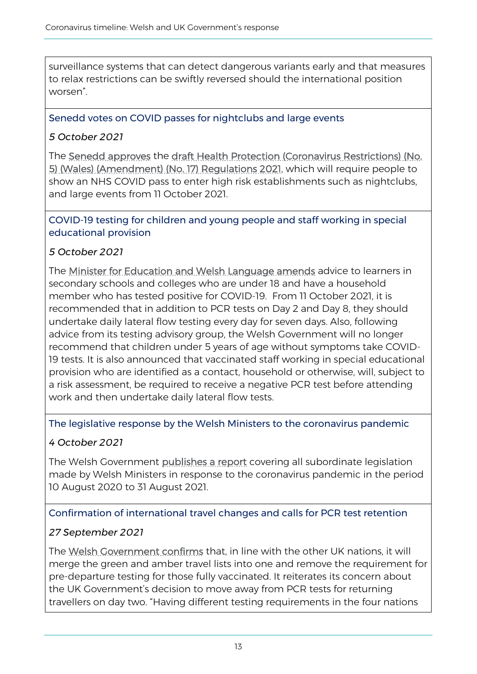surveillance systems that can detect dangerous variants early and that measures to relax restrictions can be swiftly reversed should the international position worsen".

### Senedd votes on COVID passes for nightclubs and large events

### *5 October 2021*

The [Senedd approves](https://record.assembly.wales/Plenary/12453#A67463) the [draft Health Protection \(Coronavirus Restrictions\) \(No.](https://senedd.wales/media/wrphb1az/sub-ld14562-e.pdf)  [5\) \(Wales\) \(Amendment\) \(No. 17\) Regulations 2021,](https://senedd.wales/media/wrphb1az/sub-ld14562-e.pdf) which will require people to show an NHS COVID pass to enter high risk establishments such as nightclubs, and large events from 11 October 2021.

COVID-19 testing for children and young people and staff working in special educational provision

### *5 October 2021*

The [Minister for Education and Welsh Language amends](https://gov.wales/written-statement-future-arrangements-covid-19-testing-children-and-young-people-and-staff-working) advice to learners in secondary schools and colleges who are under 18 and have a household member who has tested positive for COVID-19. From 11 October 2021, it is recommended that in addition to PCR tests on Day 2 and Day 8, they should undertake daily lateral flow testing every day for seven days. Also, following advice from its testing advisory group, the Welsh Government will no longer recommend that children under 5 years of age without symptoms take COVID-19 tests. It is also announced that vaccinated staff working in special educational provision who are identified as a contact, household or otherwise, will, subject to a risk assessment, be required to receive a negative PCR test before attending work and then undertake daily lateral flow tests.

### The legislative response by the Welsh Ministers to the coronavirus pandemic

### *4 October 2021*

The Welsh Government [publishes a report](https://gov.wales/coronavirus-pandemic-legislation-10-august-2020-31-august-2021) covering all subordinate legislation made by Welsh Ministers in response to the coronavirus pandemic in the period 10 August 2020 to 31 August 2021.

### Confirmation of international travel changes and calls for PCR test retention

### *27 September 2021*

The [Welsh Government confirms](https://gov.wales/written-statement-international-travel-changes-1) that, in line with the other UK nations, it will merge the green and amber travel lists into one and remove the requirement for pre-departure testing for those fully vaccinated. It reiterates its concern about the UK Government's decision to move away from PCR tests for returning travellers on day two. "Having different testing requirements in the four nations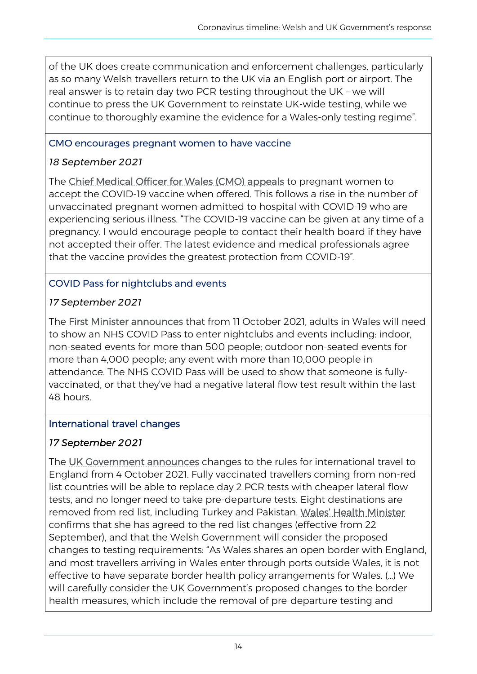of the UK does create communication and enforcement challenges, particularly as so many Welsh travellers return to the UK via an English port or airport. The real answer is to retain day two PCR testing throughout the UK – we will continue to press the UK Government to reinstate UK-wide testing, while we continue to thoroughly examine the evidence for a Wales-only testing regime".

### CMO encourages pregnant women to have vaccine

# *18 September 2021*

The [Chief Medical Officer for Wales \(CMO\) appeals](https://gov.wales/chief-medical-officer-encourages-pregnant-women-have-covid-19-vaccine) to pregnant women to accept the COVID-19 vaccine when offered. This follows a rise in the number of unvaccinated pregnant women admitted to hospital with COVID-19 who are experiencing serious illness. "The COVID-19 vaccine can be given at any time of a pregnancy. I would encourage people to contact their health board if they have not accepted their offer. The latest evidence and medical professionals agree that the vaccine provides the greatest protection from COVID-19".

# COVID Pass for nightclubs and events

# *17 September 2021*

The [First Minister announces](https://gov.wales/covid-pass-for-events-and-nightclubs-announced) that from 11 October 2021, adults in Wales will need to show an NHS COVID Pass to enter nightclubs and events including: indoor, non-seated events for more than 500 people; outdoor non-seated events for more than 4,000 people; any event with more than 10,000 people in attendance. The NHS COVID Pass will be used to show that someone is fullyvaccinated, or that they've had a negative lateral flow test result within the last 48 hours.

# International travel changes

# *17 September 2021*

The [UK Government announces](https://www.gov.uk/government/news/new-system-for-international-travel) changes to the rules for international travel to England from 4 October 2021. Fully vaccinated travellers coming from non-red list countries will be able to replace day 2 PCR tests with cheaper lateral flow tests, and no longer need to take pre-departure tests. Eight destinations are removed from red list, including Turkey and Pakistan. [Wales' Health Minister](https://gov.wales/written-statement-international-travel-changes-0) confirms that she has agreed to the red list changes (effective from 22 September), and that the Welsh Government will consider the proposed changes to testing requirements: "As Wales shares an open border with England, and most travellers arriving in Wales enter through ports outside Wales, it is not effective to have separate border health policy arrangements for Wales. (…) We will carefully consider the UK Government's proposed changes to the border health measures, which include the removal of pre-departure testing and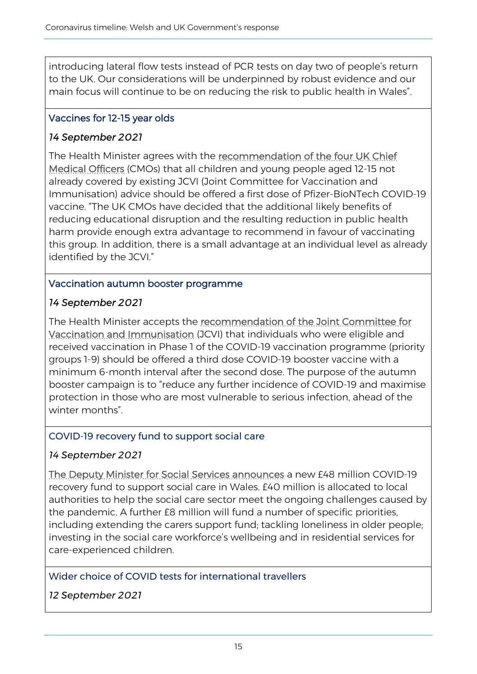introducing lateral flow tests instead of PCR tests on day two of people's return to the UK. Our considerations will be underpinned by robust evidence and our main focus will continue to be on reducing the risk to public health in Wales".

### Vaccines for 12-15 year olds

### *14 September 2021*

The Health Minister agrees with the [recommendation of the four UK Chief](https://gov.wales/written-statement-covid-19-vaccination-jcvi-chief-medical-officers-advice-vaccinating-12-15-year)  [Medical Officers](https://gov.wales/written-statement-covid-19-vaccination-jcvi-chief-medical-officers-advice-vaccinating-12-15-year) (CMOs) that all children and young people aged 12-15 not already covered by existing JCVI (Joint Committee for Vaccination and Immunisation) advice should be offered a first dose of Pfizer-BioNTech COVID-19 vaccine. "The UK CMOs have decided that the additional likely benefits of reducing educational disruption and the resulting reduction in public health harm provide enough extra advantage to recommend in favour of vaccinating this group. In addition, there is a small advantage at an individual level as already identified by the JCVI."

### Vaccination autumn booster programme

### *14 September 2021*

The Health Minister accepts the recommendation of the Joint Committee for [Vaccination and Immunisation](https://gov.wales/written-statement-covid-19-vaccination-jcvi-announcement-autumn-booster-programme) (JCVI) that individuals who were eligible and received vaccination in Phase 1 of the COVID-19 vaccination programme (priority groups 1-9) should be offered a third dose COVID-19 booster vaccine with a minimum 6-month interval after the second dose. The purpose of the autumn booster campaign is to "reduce any further incidence of COVID-19 and maximise protection in those who are most vulnerable to serious infection, ahead of the winter months".

#### COVID-19 recovery fund to support social care

#### *14 September 2021*

[The Deputy Minister for Social Services announces](https://gov.wales/ps48m-covid-recovery-fund-support-social-care-wales) a new £48 million COVID-19 recovery fund to support social care in Wales. £40 million is allocated to local authorities to help the social care sector meet the ongoing challenges caused by the pandemic. A further £8 million will fund a number of specific priorities, including extending the carers support fund; tackling loneliness in older people; investing in the social care workforce's wellbeing and in residential services for care-experienced children.

### Wider choice of COVID tests for international travellers

### *12 September 2021*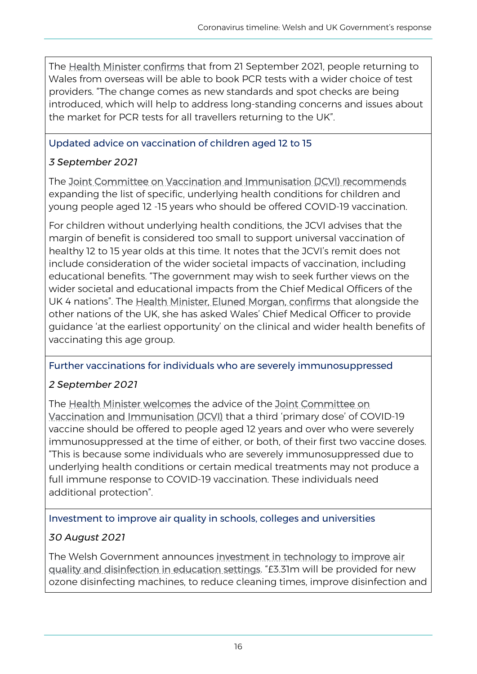The [Health Minister confirms](https://gov.wales/wider-choice-covid-tests-be-available-international-travellers) that from 21 September 2021, people returning to Wales from overseas will be able to book PCR tests with a wider choice of test providers. "The change comes as new standards and spot checks are being introduced, which will help to address long-standing concerns and issues about the market for PCR tests for all travellers returning to the UK".

# Updated advice on vaccination of children aged 12 to 15

# *3 September 2021*

The [Joint Committee on Vaccination and Immunisation \(JCVI\) recommends](https://www.gov.uk/government/news/jcvi-issues-updated-advice-on-covid-19-vaccination-of-children-aged-12-to-15) expanding the list of specific, underlying health conditions for children and young people aged 12 -15 years who should be offered COVID-19 vaccination.

For children without underlying health conditions, the JCVI advises that the margin of benefit is considered too small to support universal vaccination of healthy 12 to 15 year olds at this time. It notes that the JCVI's remit does not include consideration of the wider societal impacts of vaccination, including educational benefits. "The government may wish to seek further views on the wider societal and educational impacts from the Chief Medical Officers of the UK 4 nations". The [Health Minister, Eluned Morgan, confirms](https://gov.wales/written-statement-covid-19-vaccination-jcvi-advice-12-15-year-olds) that alongside the other nations of the UK, she has asked Wales' Chief Medical Officer to provide guidance 'at the earliest opportunity' on the clinical and wider health benefits of vaccinating this age group.

### Further vaccinations for individuals who are severely immunosuppressed

# *2 September 2021*

The **Health Minister welcomes** the advice of the Joint Committee on [Vaccination and Immunisation \(JCVI\)](https://www.gov.uk/government/publications/third-primary-covid-19-vaccine-dose-for-people-who-are-immunosuppressed-jcvi-advice/joint-committee-on-vaccination-and-immunisation-jcvi-advice-on-third-primary-dose-vaccination) that a third 'primary dose' of COVID-19 vaccine should be offered to people aged 12 years and over who were severely immunosuppressed at the time of either, or both, of their first two vaccine doses. "This is because some individuals who are severely immunosuppressed due to underlying health conditions or certain medical treatments may not produce a full immune response to COVID-19 vaccination. These individuals need additional protection".

### Investment to improve air quality in schools, colleges and universities

# *30 August 2021*

The Welsh Government announces investment in technology to improve air [quality and disinfection in education settings](https://gov.wales/fresh-start-new-term-investment-help-improve-air-quality-schools-colleges-and-universities). "£3.31m will be provided for new ozone disinfecting machines, to reduce cleaning times, improve disinfection and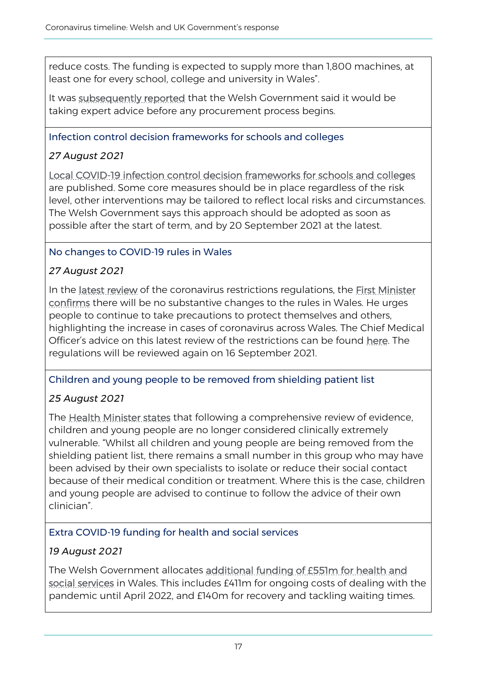reduce costs. The funding is expected to supply more than 1,800 machines, at least one for every school, college and university in Wales".

It was [subsequently reported](https://www.bbc.co.uk/news/uk-wales-politics-58410956) that the Welsh Government said it would be taking expert advice before any procurement process begins.

#### Infection control decision frameworks for schools and colleges

# *27 August 2021*

[Local COVID-19 infection control decision frameworks for schools and colleges](https://gov.wales/written-statement-local-covid-19-infection-control-decision-frameworks-schools-and-colleges-autumn) are published. Some core measures should be in place regardless of the risk level, other interventions may be tailored to reflect local risks and circumstances. The Welsh Government says this approach should be adopted as soon as possible after the start of term, and by 20 September 2021 at the latest.

### No changes to COVID-19 rules in Wales

# *27 August 2021*

In the [latest review](https://gov.wales/written-statement-review-health-protection-coronavirus-restriction-no5-wales-regulations-2020-11) of the coronavirus restrictions regulations, the First Minister [confirms](https://gov.wales/no-changes-covid-rules-wales) there will be no substantive changes to the rules in Wales. He urges people to continue to take precautions to protect themselves and others, highlighting the increase in cases of coronavirus across Wales. The Chief Medical Officer's advice on this latest review of the restrictions can be found [here.](https://gov.wales/cmo-advice-21-day-review-covid-19-restrictions-27-august-2021) The regulations will be reviewed again on 16 September 2021.

### Children and young people to be removed from shielding patient list

# *25 August 2021*

The **Health Minister states** that following a comprehensive review of evidence. children and young people are no longer considered clinically extremely vulnerable. "Whilst all children and young people are being removed from the shielding patient list, there remains a small number in this group who may have been advised by their own specialists to isolate or reduce their social contact because of their medical condition or treatment. Where this is the case, children and young people are advised to continue to follow the advice of their own clinician".

### Extra COVID-19 funding for health and social services

### *19 August 2021*

The Welsh Government allocates [additional funding of £551m for health and](https://gov.wales/ps551m-extra-covid-funding-health-and-social-services)  [social services](https://gov.wales/ps551m-extra-covid-funding-health-and-social-services) in Wales. This includes £411m for ongoing costs of dealing with the pandemic until April 2022, and £140m for recovery and tackling waiting times.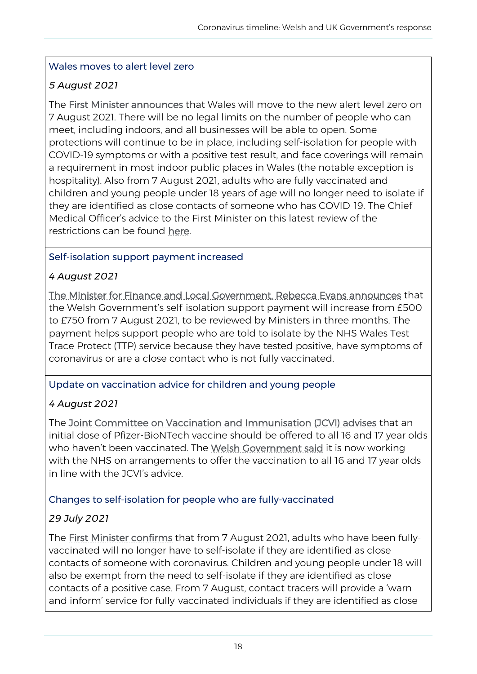### Wales moves to alert level zero

# *5 August 2021*

The [First Minister announces](https://gov.wales/wales-moves-alert-level-zero) that Wales will move to the new alert level zero on 7 August 2021. There will be no legal limits on the number of people who can meet, including indoors, and all businesses will be able to open. Some protections will continue to be in place, including self-isolation for people with COVID-19 symptoms or with a positive test result, and face coverings will remain a requirement in most indoor public places in Wales (the notable exception is hospitality). Also from 7 August 2021, adults who are fully vaccinated and children and young people under 18 years of age will no longer need to isolate if they are identified as close contacts of someone who has COVID-19. The Chief Medical Officer's advice to the First Minister on this latest review of the restrictions can be found here.

### Self-isolation support payment increased

# *4 August 2021*

[The Minister for Finance and Local Government, Rebecca Evans announces](https://gov.wales/self-isolation-support-payment-increased-750) that the Welsh Government's self-isolation support payment will increase from £500 to £750 from 7 August 2021, to be reviewed by Ministers in three months. The payment helps support people who are told to isolate by the NHS Wales Test Trace Protect (TTP) service because they have tested positive, have symptoms of coronavirus or are a close contact who is not fully vaccinated.

# Update on vaccination advice for children and young people

# *4 August 2021*

The [Joint Committee on Vaccination and Immunisation \(JCVI\) advises](https://www.gov.uk/government/news/jcvi-issues-updated-advice-on-covid-19-vaccination-of-young-people-aged-16-to-17) that an initial dose of Pfizer-BioNTech vaccine should be offered to all 16 and 17 year olds who haven't been vaccinated. The [Welsh Government said](https://gov.wales/written-statement-covid-19-vaccination-jcvi-announcement-vaccinating-children-young-people-0) it is now working with the NHS on arrangements to offer the vaccination to all 16 and 17 year olds in line with the JCVI's advice.

### Changes to self-isolation for people who are fully-vaccinated

# *29 July 2021*

The [First Minister confirms](https://gov.wales/changes-self-isolation-fully-vaccinated-adults) that from 7 August 2021, adults who have been fullyvaccinated will no longer have to self-isolate if they are identified as close contacts of someone with coronavirus. Children and young people under 18 will also be exempt from the need to self-isolate if they are identified as close contacts of a positive case. From 7 August, contact tracers will provide a 'warn and inform' service for fully-vaccinated individuals if they are identified as close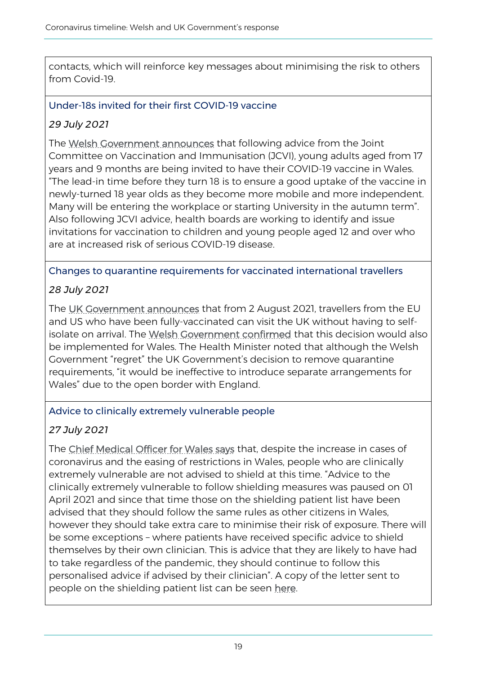contacts, which will reinforce key messages about minimising the risk to others from Covid-19.

Under-18s invited for their first COVID-19 vaccine

# *29 July 2021*

The [Welsh Government announces](https://gov.wales/under-18s-invited-their-first-covid-19-vaccine-wales) that following advice from the Joint Committee on Vaccination and Immunisation (JCVI), young adults aged from 17 years and 9 months are being invited to have their COVID-19 vaccine in Wales. "The lead-in time before they turn 18 is to ensure a good uptake of the vaccine in newly-turned 18 year olds as they become more mobile and more independent. Many will be entering the workplace or starting University in the autumn term". Also following JCVI advice, health boards are working to identify and issue invitations for vaccination to children and young people aged 12 and over who are at increased risk of serious COVID-19 disease.

### Changes to quarantine requirements for vaccinated international travellers

# *28 July 2021*

The [UK Government announces](https://gov.wales/written-statement-international-travel-changes-2-august-2021) that from 2 August 2021, travellers from the EU and US who have been fully-vaccinated can visit the UK without having to selfisolate on arrival. The [Welsh Government confirmed](https://gov.wales/written-statement-international-travel-changes-2-august-2021) that this decision would also be implemented for Wales. The Health Minister noted that although the Welsh Government "regret" the UK Government's decision to remove quarantine requirements, "it would be ineffective to introduce separate arrangements for Wales" due to the open border with England.

# Advice to clinically extremely vulnerable people

# *27 July 2021*

The [Chief Medical Officer for Wales says](https://gov.wales/written-statement-advice-those-who-are-clinically-extremely-vulnerable-re-coronavirus-control-plan) that, despite the increase in cases of coronavirus and the easing of restrictions in Wales, people who are clinically extremely vulnerable are not advised to shield at this time. "Advice to the clinically extremely vulnerable to follow shielding measures was paused on 01 April 2021 and since that time those on the shielding patient list have been advised that they should follow the same rules as other citizens in Wales, however they should take extra care to minimise their risk of exposure. There will be some exceptions – where patients have received specific advice to shield themselves by their own clinician. This is advice that they are likely to have had to take regardless of the pandemic, they should continue to follow this personalised advice if advised by their clinician". A copy of the letter sent to people on the shielding patient list can be seen [here.](https://gov.wales/sites/default/files/inline-documents/2021-07/210727%20-%20Advice%20for%20the%20clinically%20extremely%20vulnerable%20in%20Wales%20as%20further%20relaxations%20are%20introduced.pdf)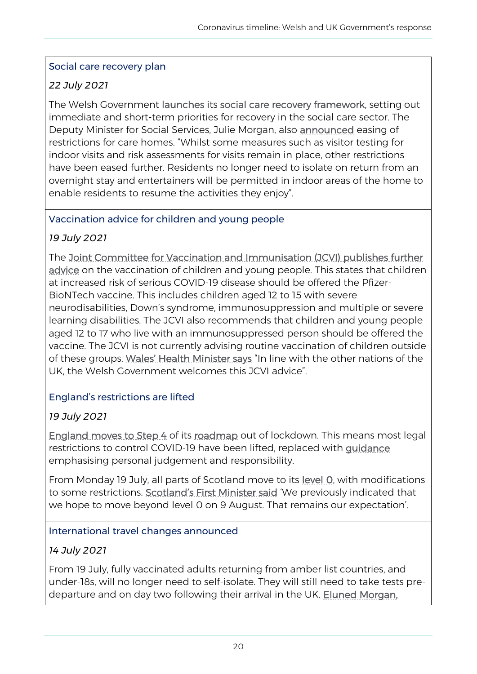### Social care recovery plan

# *22 July 2021*

The Welsh Government [launches](https://gov.wales/written-statement-social-care-recovery-framework) its [social care recovery framework,](https://gov.wales/social-care-recovery-framework-covid-19) setting out immediate and short-term priorities for recovery in the social care sector. The Deputy Minister for Social Services, Julie Morgan, also [announced](https://gov.wales/care-home-visit-restrictions-eased-social-care-recovery-plan-launched) easing of restrictions for care homes. "Whilst some measures such as visitor testing for indoor visits and risk assessments for visits remain in place, other restrictions have been eased further. Residents no longer need to isolate on return from an overnight stay and entertainers will be permitted in indoor areas of the home to enable residents to resume the activities they enjoy".

### Vaccination advice for children and young people

### *19 July 2021*

The [Joint Committee for Vaccination and Immunisation \(JCVI\) publishes further](https://www.gov.uk/government/news/jcvi-issues-advice-on-covid-19-vaccination-of-children-and-young-people)  [advice](https://www.gov.uk/government/news/jcvi-issues-advice-on-covid-19-vaccination-of-children-and-young-people) on the vaccination of children and young people. This states that children at increased risk of serious COVID-19 disease should be offered the Pfizer-BioNTech vaccine. This includes children aged 12 to 15 with severe neurodisabilities, Down's syndrome, immunosuppression and multiple or severe learning disabilities. The JCVI also recommends that children and young people aged 12 to 17 who live with an immunosuppressed person should be offered the vaccine. The JCVI is not currently advising routine vaccination of children outside of these groups. [Wales' Health Minister says](https://gov.wales/written-statement-covid-19-vaccination-jcvi-announcement-vaccinating-children-young-people) "In line with the other nations of the UK, the Welsh Government welcomes this JCVI advice".

# England's restrictions are lifted

# *19 July 2021*

[England moves to Step 4](https://www.gov.uk/government/speeches/pm-statement-at-coronavirus-press-conference-19-july-2021) of its [roadmap](https://www.gov.uk/government/publications/covid-19-response-spring-2021) out of lockdown. This means most legal restrictions to control COVID-19 have been lifted, replaced with [guidance](https://www.gov.uk/guidance/covid-19-coronavirus-restrictions-what-you-can-and-cannot-do) emphasising personal judgement and responsibility.

From Monday 19 July, all parts of Scotland move to its [level 0,](https://www.gov.scot/publications/coronavirus-covid-19-protection-levels/pages/protection-level-0/) with modifications to some restrictions. [Scotland's First Minister said](https://www.gov.scot/publications/coronavirus-covid-19-update-first-ministers-statement-13-july-2021/) 'We previously indicated that we hope to move beyond level 0 on 9 August. That remains our expectation'.

### International travel changes announced

### *14 July 2021*

From 19 July, fully vaccinated adults returning from amber list countries, and under-18s, will no longer need to self-isolate. They will still need to take tests predeparture and on day two following their arrival in the UK. [Eluned Morgan,](https://gov.wales/written-statement-international-travel-changes-19-july-2021)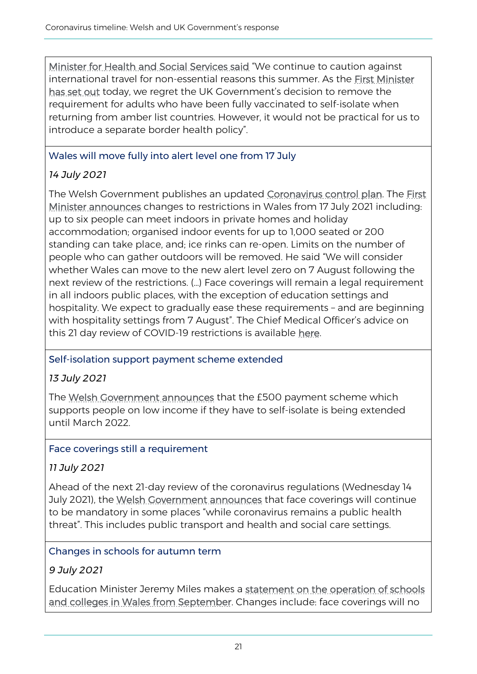[Minister for Health and Social Services said](https://gov.wales/written-statement-international-travel-changes-19-july-2021) "We continue to caution against international travel for non-essential reasons this summer. As the [First Minister](https://record.assembly.wales/Plenary/12324#A66505)  [has set out](https://record.assembly.wales/Plenary/12324#A66505) today, we regret the UK Government's decision to remove the requirement for adults who have been fully vaccinated to self-isolate when returning from amber list countries. However, it would not be practical for us to introduce a separate border health policy".

### Wales will move fully into alert level one from 17 July

# *14 July 2021*

The Welsh Government publishes an updated [Coronavirus control plan.](https://eur01.safelinks.protection.outlook.com/?url=https%3A%2F%2Fgov.wales%2Fcoronavirus-control-plan-alert-level-0-zero&data=04%7C01%7CNia.Lewis%40gov.wales%7C8afc0cf3a864422757ad08d946a6e9c0%7Ca2cc36c592804ae78887d06dab89216b%7C0%7C0%7C637618504956704232%7CUnknown%7CTWFpbGZsb3d8eyJWIjoiMC4wLjAwMDAiLCJQIjoiV2luMzIiLCJBTiI6Ik1haWwiLCJXVCI6Mn0%3D%7C1000&sdata=PKZop2mwoEEaUZQSX8ZH7OETmpGkvaw2DSbEllqu9SM%3D&reserved=0) The First [Minister announces](https://gov.wales/written-statement-review-health-protection-coronavirus-restriction-no5-wales-regulations-2020-9) changes to restrictions in Wales from 17 July 2021 including: up to six people can meet indoors in private homes and holiday accommodation; organised indoor events for up to 1,000 seated or 200 standing can take place, and; ice rinks can re-open. Limits on the number of people who can gather outdoors will be removed. He said "We will consider whether Wales can move to the new alert level zero on 7 August following the next review of the restrictions. (…) Face coverings will remain a legal requirement in all indoors public places, with the exception of education settings and hospitality. We expect to gradually ease these requirements – and are beginning with hospitality settings from 7 August". The Chief Medical Officer's advice on this 21 day review of COVID-19 restrictions is available [here.](https://gov.wales/cmo-advice-21-day-review-covid-19-restrictions-july-2021)

### Self-isolation support payment scheme extended

# *13 July 2021*

The [Welsh Government announces](https://gov.wales/ps500-self-isolation-support-payment-scheme-extended) that the £500 payment scheme which supports people on low income if they have to self-isolate is being extended until March 2022.

### Face coverings still a requirement

# *11 July 2021*

Ahead of the next 21-day review of the coronavirus regulations (Wednesday 14 July 2021), the [Welsh Government announces](https://gov.wales/face-coverings-continue-help-keep-wales-safe) that face coverings will continue to be mandatory in some places "while coronavirus remains a public health threat". This includes public transport and health and social care settings.

### Changes in schools for autumn term

# *9 July 2021*

Education Minister Jeremy Miles makes a statement on the operation of schools [and colleges in Wales from September.](https://gov.wales/written-statement-operation-schools-and-colleges-september) Changes include: face coverings will no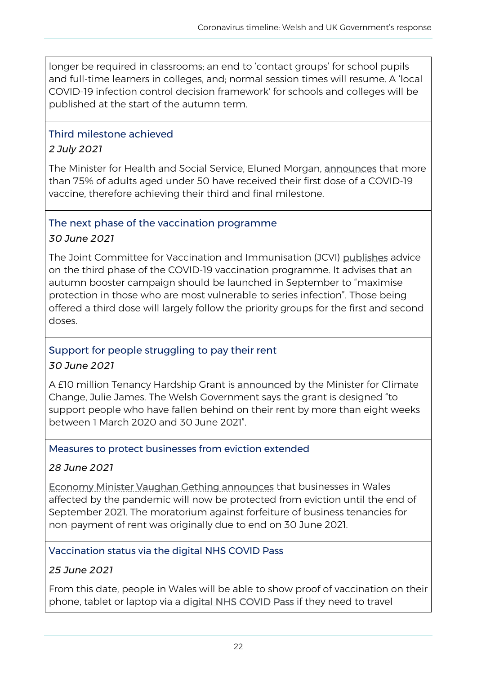longer be required in classrooms; an end to 'contact groups' for school pupils and full-time learners in colleges, and; normal session times will resume. A 'local COVID-19 infection control decision framework' for schools and colleges will be published at the start of the autumn term.

### Third milestone achieved

# *2 July 2021*

The Minister for Health and Social Service, Eluned Morgan, **announces** that more than 75% of adults aged under 50 have received their first dose of a COVID-19 vaccine, therefore achieving their third and final milestone.

### The next phase of the vaccination programme

### *30 June 2021*

The Joint Committee for Vaccination and Immunisation (JCVI) [publishes](https://gov.wales/written-statement-covid-19-vaccination-jcvi-announcement-phase-3) advice on the third phase of the COVID-19 vaccination programme. It advises that an autumn booster campaign should be launched in September to "maximise protection in those who are most vulnerable to series infection". Those being offered a third dose will largely follow the priority groups for the first and second doses.

# Support for people struggling to pay their rent

# *30 June 2021*

A £10 million Tenancy Hardship Grant is [announced](https://gov.wales/new-10-million-grant-scheme-help-people-struggling-pay-their-rent-during-pandemic) by the Minister for Climate Change, Julie James. The Welsh Government says the grant is designed "to support people who have fallen behind on their rent by more than eight weeks between 1 March 2020 and 30 June 2021".

### Measures to protect businesses from eviction extended

# *28 June 2021*

[Economy Minister Vaughan Gething announces](https://gov.wales/welsh-government-extends-measures-protect-businesses-eviction-until-end-september-2021) that businesses in Wales affected by the pandemic will now be protected from eviction until the end of September 2021. The moratorium against forfeiture of business tenancies for non-payment of rent was originally due to end on 30 June 2021.

### Vaccination status via the digital NHS COVID Pass

# *25 June 2021*

From this date, people in Wales will be able to show proof of vaccination on their phone, tablet or laptop via a [digital NHS COVID Pass](https://gov.wales/written-statement-covid-vaccination-status-digital-nhs-covid-pass) if they need to travel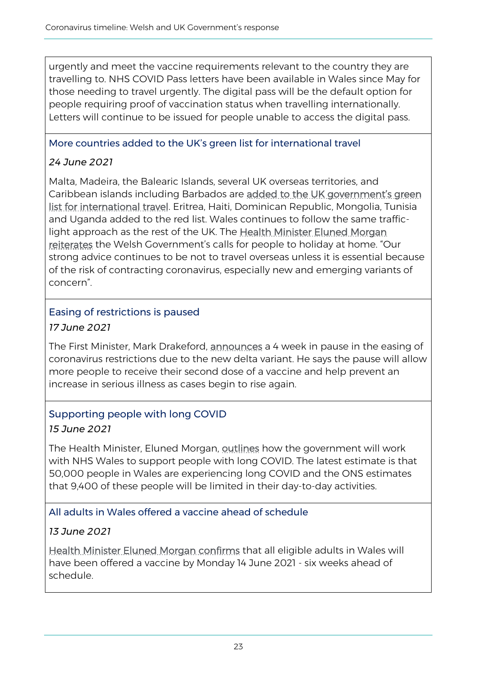urgently and meet the vaccine requirements relevant to the country they are travelling to. NHS COVID Pass letters have been available in Wales since May for those needing to travel urgently. The digital pass will be the default option for people requiring proof of vaccination status when travelling internationally. Letters will continue to be issued for people unable to access the digital pass.

### More countries added to the UK's green list for international travel

# *24 June 2021*

Malta, Madeira, the Balearic Islands, several UK overseas territories, and Caribbean islands including Barbados are added to the UK government's green [list for international travel.](https://www.gov.uk/government/news/uk-travel-update-malta-added-to-green-list-and-green-watchlist-extended-as-plans-for-quarantine-free-travel-for-fully-vaccinated-passengers-from-ambe) Eritrea, Haiti, Dominican Republic, Mongolia, Tunisia and Uganda added to the red list. Wales continues to follow the same trafficlight approach as the rest of the UK. The [Health Minister Eluned Morgan](https://gov.wales/written-statement-international-travel-changes-and-restrictions-fully-vaccinated-travellers)  [reiterates](https://gov.wales/written-statement-international-travel-changes-and-restrictions-fully-vaccinated-travellers) the Welsh Government's calls for people to holiday at home. "Our strong advice continues to be not to travel overseas unless it is essential because of the risk of contracting coronavirus, especially new and emerging variants of concern".

### Easing of restrictions is paused *17 June 2021*

The First Minister, Mark Drakeford, [announces](https://gov.wales/rule-changes-hold-4-weeks-delta-spreads) a 4 week in pause in the easing of coronavirus restrictions due to the new delta variant. He says the pause will allow more people to receive their second dose of a vaccine and help prevent an increase in serious illness as cases begin to rise again.

# Supporting people with long COVID

# *15 June 2021*

The Health Minister, Eluned Morgan, [outlines](https://gov.wales/supporting-people-recover-long-covid-html) how the government will work with NHS Wales to support people with long COVID. The latest estimate is that 50,000 people in Wales are experiencing long COVID and the ONS estimates that 9,400 of these people will be limited in their day-to-day activities.

# All adults in Wales offered a vaccine ahead of schedule

# *13 June 2021*

[Health Minister Eluned Morgan confirms](https://gov.wales/all-adults-wales-offered-vaccine-ahead-schedule) that all eligible adults in Wales will have been offered a vaccine by Monday 14 June 2021 - six weeks ahead of schedule.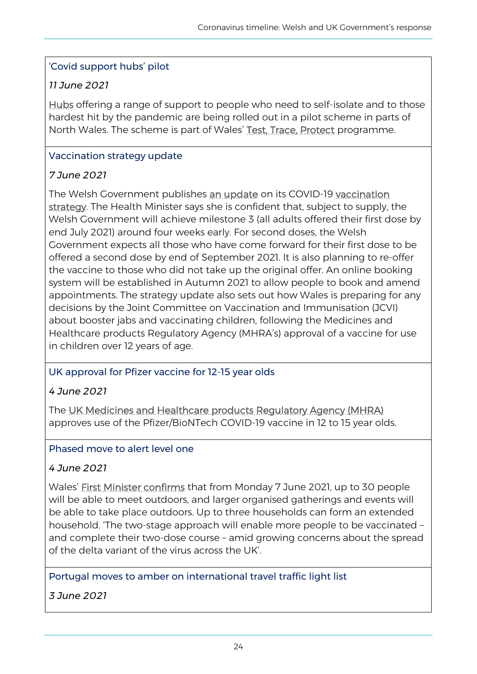### 'Covid support hubs' pilot

# *11 June 2021*

[Hubs](https://gov.wales/covid-hubs-north-wales-offering-support-hardest-hit) offering a range of support to people who need to self-isolate and to those hardest hit by the pandemic are being rolled out in a pilot scheme in parts of North Wales. The scheme is part of Wales' [Test, Trace, Protect](https://gov.wales/test-trace-protect) programme.

### Vaccination strategy update

# *7 June 2021*

The Welsh Government publishes [an update](https://gov.wales/written-statement-covid-19-vaccination-strategy-update-1) on its COVID-19 [vaccination](https://gov.wales/covid-19-vaccination-strategy-wales-june-2021-update)  [strategy.](https://gov.wales/covid-19-vaccination-strategy-wales-june-2021-update) The Health Minister says she is confident that, subject to supply, the Welsh Government will achieve milestone 3 (all adults offered their first dose by end July 2021) around four weeks early. For second doses, the Welsh Government expects all those who have come forward for their first dose to be offered a second dose by end of September 2021. It is also planning to re-offer the vaccine to those who did not take up the original offer. An online booking system will be established in Autumn 2021 to allow people to book and amend appointments. The strategy update also sets out how Wales is preparing for any decisions by the Joint Committee on Vaccination and Immunisation (JCVI) about booster jabs and vaccinating children, following the Medicines and Healthcare products Regulatory Agency (MHRA's) approval of a vaccine for use in children over 12 years of age.

# UK approval for Pfizer vaccine for 12-15 year olds

### *4 June 2021*

The [UK Medicines and Healthcare products Regulatory Agency \(MHRA\)](https://www.gov.uk/government/news/the-mhra-concludes-positive-safety-profile-for-pfizerbiontech-vaccine-in-12-to-15-year-olds) approves use of the Pfizer/BioNTech COVID-19 vaccine in 12 to 15 year olds.

### Phased move to alert level one

### *4 June 2021*

Wales' [First Minister confirms](https://gov.wales/first-minister-confirms-phased-move-alert-level-one) that from Monday 7 June 2021, up to 30 people will be able to meet outdoors, and larger organised gatherings and events will be able to take place outdoors. Up to three households can form an extended household. 'The two-stage approach will enable more people to be vaccinated – and complete their two-dose course – amid growing concerns about the spread of the delta variant of the virus across the UK'.

### Portugal moves to amber on international travel traffic light list

*3 June 2021*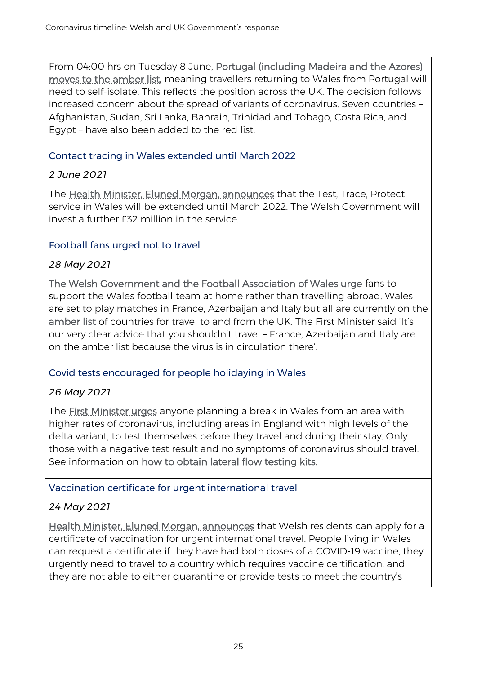From 04:00 hrs on Tuesday 8 June, [Portugal \(including Madeira and the Azores\)](https://gov.wales/portugal-moves-amber-international-travel-traffic-light-list)  [moves to the amber list,](https://gov.wales/portugal-moves-amber-international-travel-traffic-light-list) meaning travellers returning to Wales from Portugal will need to self-isolate. This reflects the position across the UK. The decision follows increased concern about the spread of variants of coronavirus. Seven countries – Afghanistan, Sudan, Sri Lanka, Bahrain, Trinidad and Tobago, Costa Rica, and Egypt – have also been added to the red list.

### Contact tracing in Wales extended until March 2022

# *2 June 2021*

The [Health Minister, Eluned Morgan, announces](https://gov.wales/contact-tracing-wales-extended-until-march-2022) that the Test, Trace, Protect service in Wales will be extended until March 2022. The Welsh Government will invest a further £32 million in the service.

# Football fans urged not to travel

# *28 May 2021*

[The Welsh Government and the Football Association of Wales urge](https://gov.wales/red-wall-urged-support-wales-home-summer) fans to support the Wales football team at home rather than travelling abroad. Wales are set to play matches in France, Azerbaijan and Italy but all are currently on the [amber list](https://gov.wales/new-international-travel-rules-for-wales-confirmed-by-first-minister) of countries for travel to and from the UK. The First Minister said 'It's our very clear advice that you shouldn't travel – France, Azerbaijan and Italy are on the amber list because the virus is in circulation there'.

# Covid tests encouraged for people holidaying in Wales

# *26 May 2021*

The [First Minister urges](https://gov.wales/dont-forget-to-pack-your-covid-test-if-youre-holidaying-in-wales) anyone planning a break in Wales from an area with higher rates of coronavirus, including areas in England with high levels of the delta variant, to test themselves before they travel and during their stay. Only those with a negative test result and no symptoms of coronavirus should travel. See information on [how to obtain lateral flow testing kits.](https://gov.wales/get-rapid-lateral-flow-covid-19-tests-if-you-do-not-have-symptoms#section-68472)

# Vaccination certificate for urgent international travel

# *24 May 2021*

[Health Minister, Eluned Morgan, announces](https://gov.wales/holiday-wales-year-new-health-minister-asks) that Welsh residents can apply for a certificate of vaccination for urgent international travel. People living in Wales can request a certificate if they have had both doses of a COVID-19 vaccine, they urgently need to travel to a country which requires vaccine certification, and they are not able to either quarantine or provide tests to meet the country's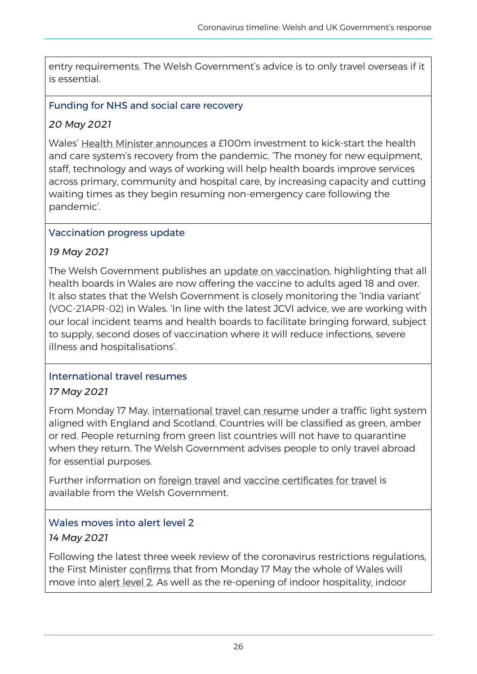entry requirements. The Welsh Government's advice is to only travel overseas if it is essential.

### Funding for NHS and social care recovery

### *20 May 2021*

Wales' [Health Minister announces](https://gov.wales/ps100m-kick-start-nhs-and-social-care-recovery-pandemic-wales) a £100m investment to kick-start the health and care system's recovery from the pandemic. 'The money for new equipment, staff, technology and ways of working will help health boards improve services across primary, community and hospital care, by increasing capacity and cutting waiting times as they begin resuming non-emergency care following the pandemic'.

### Vaccination progress update

### *19 May 2021*

The Welsh Government publishes an [update on vaccination,](https://gov.wales/written-statement-covid-19-vaccination-progress-against-strategy-update-2) highlighting that all health boards in Wales are now offering the vaccine to adults aged 18 and over. It also states that the Welsh Government is closely monitoring the 'India variant' (VOC-21APR-02) in Wales. 'In line with the latest JCVI advice, we are working with our local incident teams and health boards to facilitate bringing forward, subject to supply, second doses of vaccination where it will reduce infections, severe illness and hospitalisations'.

# International travel resumes

### *17 May 2021*

From Monday 17 May, [international travel can resume](https://gov.wales/new-international-travel-rules-for-wales-confirmed-by-first-minister) under a traffic light system aligned with England and Scotland. Countries will be classified as green, amber or red. People returning from green list countries will not have to quarantine when they return. The Welsh Government advises people to only travel abroad for essential purposes.

Further information on [foreign travel](https://gov.wales/rules-foreign-travel-and-wales-coronavirus-covid-19-html) and [vaccine certificates for travel](https://gov.wales/getting-vaccine-certificate-international-travel) is available from the Welsh Government.

# Wales moves into alert level 2

# *14 May 2021*

Following the latest three week review of the coronavirus restrictions regulations, the First Minister [confirms](https://gov.wales/wales-moves-alert-level-2) that from Monday 17 May the whole of Wales will move into [alert level 2.](https://gov.wales/alert-level-2-frequently-asked-questions) As well as the re-opening of indoor hospitality, indoor